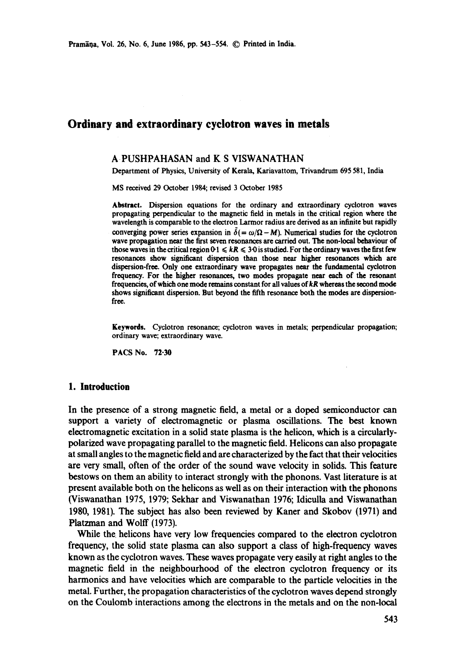# **Ordinary and extraordinary cyclotron waves in metals**

### A PUSHPAHASAN and K S VISWANATHAN

Department of Physics, University of Kerala, Kariavattom, Trivandrum 695 581, India

MS received 29 October 1984; revised 3 October 1985

Abstract. Dispersion equations for the ordinary and extraordinary cyclotron waves propagating perpendicular to the magnetic field in metals in the critical region where the wavelength is comparable to the electron Larmor radius are derived as an infinite but rapidly converging power series expansion in  $\tilde{\delta}$ (=  $\omega/\Omega - M$ ). Numerical studies for the cyclotron wave propagation near the first seven resonances are carried out. The non-local behaviour of those waves in the critical region  $0<sub>1</sub> \le kR \le 3.0$  is studied. For the ordinary waves the first few resonances show significant dispersion than those near higher resonances which are dispersion-free. Only one extraordinary wave propagates near the fundamental cyclotron frequency. For the higher resonances, two modes propagate near each of the resonant frequencies, of which one mode remains constant for all values of *kR* whereas the second mode shows significant dispersion. But beyond the fifth resonance both the modes are dispersionfree.

Keywords. Cyclotron resonance; cyclotron waves in metals; perpendicular propagation; ordinary wave; extraordinary wave.

PACS No. 72-30

### **1. Introduction**

In the presence of a strong magnetic field, a metal or a doped semiconductor can support a variety of electromagnetic or plasma oscillations. The best known electromagnetic excitation in a solid state plasma is the helicon, which is a circularlypolarized wave propagating parallel to the magnetic field. Helicons can also propagate at small angles to the magnetic field and are characterized by the fact that their velocities are very small, often of the order of the sound wave velocity in solids. This feature bestows on them an ability to interact strongly with the phonons. Vast literature is at present available both on the helicons as well as on their interaction with the phonons (Viswanathan 1975, 1979; Sekhar and Viswanathan 1976; Idiculla and Viswanathan 1980, 1981). The subject has also been reviewed by Kaner and Skobov (1971) and Platzman and Wolff (1973).

While the helicons have very low frequencies compared to the electron cyclotron frequency, the solid state plasma can also support a class of high-frequency waves known as the cyclotron waves. These waves propagate very easily at right angles to the magnetic field in the neighbourhood of the electron cyclotron frequency or its harmonics and have velocities which are comparable to the particle velocities in the metal. Further, the propagation characteristics of the cyclotron waves depend strongly on the Coulomb interactions among the electrons in the metals and on the non-local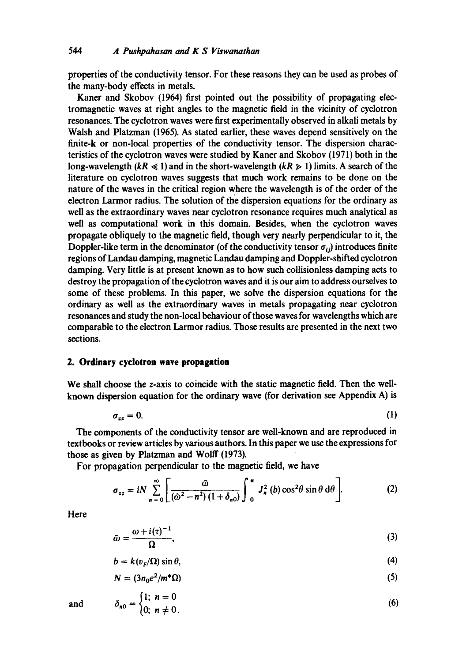properties of the conductivity tensor. For these reasons they can be used as probes of the many-body effects in metals.

Kaner and Skobov (1964) first pointed out the possibility of propagating electromagnetic waves at right angles to the magnetic field in the vicinity of cyclotron resonances. The cyclotron waves were first experimentally observed in alkali metals by Walsh and Platzman (1965). As stated earlier, these waves depend sensitively on the finite-k or non-local properties of the conductivity tensor. The dispersion characteristics of the cyclotron waves were studied by Kaner and Skobov (1971) both in the long-wavelength  $(kR \le 1)$  and in the short-wavelength  $(kR \ge 1)$  limits. A search of the literature on cyclotron waves suggests that much work remains to be done on the nature of the waves in the critical region where the wavelength is of the order of the electron Larmor radius. The solution of the dispersion equations for the ordinary as well as the extraordinary waves near cyclotron resonance requires much analytical as well as computational work in this domain. Besides, when the cyclotron waves propagate obliquely to the magnetic field, though very nearly perpendicular to it, the Doppler-like term in the denominator (of the conductivity tensor  $\sigma_{ij}$ ) introduces finite regions of Landau damping, magnetic Landau damping and Doppler-shifted cyclotron damping. Very little is at present known as to how such coilisionless damping acts to destroy the propagation of the cyclotron waves and it is our aim to address ourselves to some of these problems. In this paper, we solve the dispersion equations for the ordinary as well as the extraordinary waves in metals propagating near cyclotron resonances and study the non-local behaviour of those waves for wavelengths which are comparable to the electron Larmor radius. Those results are presented in the next two sections.

### **2. Ordinary cyclotron wave propagation**

We shall choose the z-axis to coincide with the static magnetic field. Then the wellknown dispersion equation for the ordinary wave (for derivation see Appendix A) is

$$
\sigma_{zz} = 0. \tag{1}
$$

The components of the conductivity tensor are well-known and are reproduced in textbooks or review articles by various authors. In this paper we use the expressions for those as given by Platzman and Wolff (1973).

For propagation perpendicular to the magnetic field, we have

$$
\sigma_{zz} = iN \sum_{n=0}^{\infty} \left[ \frac{\hat{\omega}}{(\hat{\omega}^2 - n^2)(1 + \delta_{n0})} \int_{0}^{\pi} J_n^2(b) \cos^2 \theta \sin \theta \, d\theta \right].
$$
 (2)

Here

$$
\tilde{\omega} = \frac{\omega + i(\tau)^{-1}}{\Omega},\tag{3}
$$

$$
b = k(vF/\Omega) \sin \theta, \tag{4}
$$

$$
N = (3n_0e^2/m^*\Omega) \tag{5}
$$

$$
\delta_{n0} = \begin{cases} 1; & n = 0 \\ 0; & n \neq 0. \end{cases}
$$
 (6)

and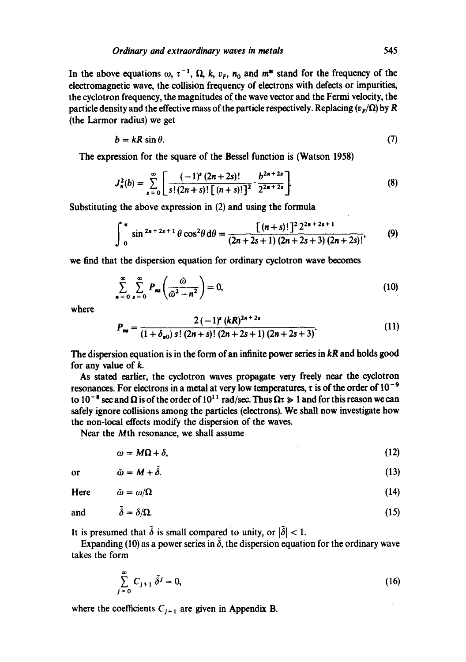In the above equations  $\omega$ ,  $\tau^{-1}$ ,  $\Omega$ , k,  $v_F$ ,  $n_0$  and  $m^*$  stand for the frequency of the electromagnetic wave, the collision frequency of electrons with defects or impurities, the cyclotron frequency, the magnitudes of the wave vector and the Fermi velocity, the particle density and the effective mass of the particle respectively. Replacing  $(v_r/\Omega)$  by R (the Larmor radius) we get

$$
b = kR \sin \theta. \tag{7}
$$

The expression for the square of the Bessel function is (Watson 1958)

$$
J_n^2(b) = \sum_{s=0}^{\infty} \left[ \frac{(-1)^s (2n+2s)!}{s!(2n+s)!\left[(n+s)!\right]^2} \cdot \frac{b^{2n+2s}}{2^{2n+2s}} \right].
$$
 (8)

Substituting the above expression in (2) and using the formula

$$
\int_{0}^{\pi} \sin^{2n+2s+1}\theta \cos^{2}\theta d\theta = \frac{[(n+s)!]^2 2^{2n+2s+1}}{(2n+2s+1)(2n+2s+3)(2n+2s)!},
$$
(9)

we find that the dispersion equation for ordinary cyclotron wave becomes

$$
\sum_{n=0}^{\infty} \sum_{s=0}^{\infty} P_{ns} \left( \frac{\tilde{\omega}}{\tilde{\omega}^2 - n^2} \right) = 0,
$$
\n(10)

where

$$
P_{ns} = \frac{2(-1)^{s} (kR)^{2s+2s}}{(1+\delta_{n0}) s! (2n+s)! (2n+2s+1) (2n+2s+3)}.
$$
 (11)

The dispersion equation is in the form of an infinite power series in *kR* and holds good for any value of k.

As stated earlier, the cyclotron waves propagate very freely near the cyclotron resonances. For electrons in a metal at very low temperatures,  $\tau$  is of the order of 10<sup>-9</sup> to 10<sup>-8</sup> sec and  $\Omega$  is of the order of 10<sup>11</sup> rad/sec. Thus  $\Omega \tau \gg 1$  and for this reason we can safely ignore collisions among the particles (electrons). We shall now investigate how the non-local effects modify the dispersion of the waves.

Near the Mth resonance, we shall assume

$$
\omega = M\Omega + \delta, \tag{12}
$$

$$
\tilde{\omega} = M + \tilde{\delta}.\tag{13}
$$

Here 
$$
\tilde{\omega} = \omega/\Omega
$$
 (14)

and  $\delta = \delta/\Omega$ . (15)

It is presumed that  $\tilde{\delta}$  is small compared to unity, or  $|\tilde{\delta}| < 1$ .

Expanding (10) as a power series in  $\delta$ , the dispersion equation for the ordinary wave takes the form

$$
\sum_{j=0}^{\infty} C_{j+1} \, \tilde{\delta}^j = 0,\tag{16}
$$

where the coefficients  $C_{j+1}$  are given in Appendix B.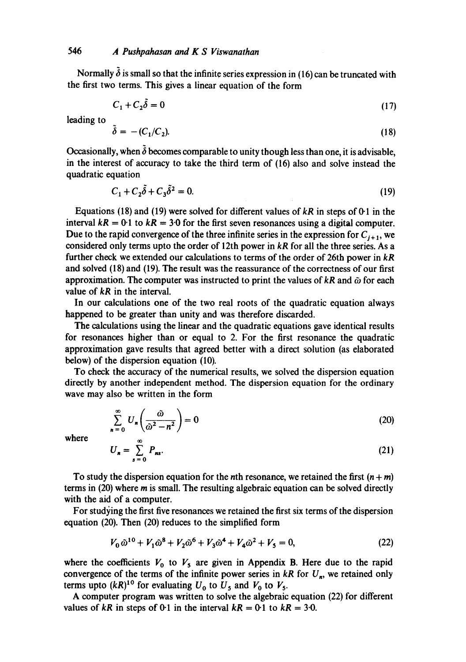Normally  $\delta$  is small so that the infinite series expression in (16) can be truncated with the first two terms. This gives a linear equation of the form

$$
C_1 + C_2 \tilde{\delta} = 0 \tag{17}
$$

leading to

$$
\tilde{\delta} = - (C_1/C_2). \tag{18}
$$

Occasionally, when  $\tilde{\delta}$  becomes comparable to unity though less than one, it is advisable, in the interest of accuracy to take the third term of (16) also and solve instead the quadratic equation

$$
C_1 + C_2 \tilde{\delta} + C_3 \tilde{\delta}^2 = 0. \tag{19}
$$

Equations (18) and (19) were solved for different values of  $kR$  in steps of  $0.1$  in the interval  $kR = 0.1$  to  $kR = 3.0$  for the first seven resonances using a digital computer. Due to the rapid convergence of the three infinite series in the expression for  $C_{i+1}$ , we considered only terms upto the order of 12th power in *kR* for all the three series. As a further check we extended our calculations to terms of the order of 26th power in *kR*  and solved (18) and (19). The result was the reassurance of the correctness of our first approximation. The computer was instructed to print the values of  $kR$  and  $\tilde{\omega}$  for each value of *kR* in the interval.

In our calculations one of the two real roots of the quadratic equation always happened to be greater than unity and was therefore discarded.

The calculations using the linear and the quadratic equations gave identical results for resonances higher than or equal to 2. For the first resonance the quadratic approximation gave results that agreed better with a direct solution (as elaborated below) of the dispersion equation (10).

To check the accuracy of the numerical results, we solved the dispersion equation directly by another independent method. The dispersion equation for the ordinary wave may also be written in the form

$$
\sum_{n=0}^{\infty} U_n \left( \frac{\hat{\omega}}{\hat{\omega}^2 - n^2} \right) = 0 \tag{20}
$$

where

$$
U_n = \sum_{s=0}^{\infty} P_{ns}.
$$
 (21)

To study the dispersion equation for the nth resonance, we retained the first  $(n + m)$ terms in (20) where m is small. The resulting algebraic equation can be solved directly with the aid of a computer.

For studying the first five resonances we retained the first six terms of the dispersion equation (20). Then (20) reduces to the simplified form

$$
V_0 \,\tilde{\omega}^{10} + V_1 \tilde{\omega}^8 + V_2 \tilde{\omega}^6 + V_3 \tilde{\omega}^4 + V_4 \tilde{\omega}^2 + V_5 = 0,\tag{22}
$$

where the coefficients  $V_0$  to  $V_5$  are given in Appendix B. Here due to the rapid convergence of the terms of the infinite power series in  $kR$  for  $U_n$ , we retained only terms upto  $(kR)^{10}$  for evaluating  $U_0$  to  $U_5$  and  $V_0$  to  $V_5$ .

A computer program was written to solve the algebraic equation (22) for different values of  $kR$  in steps of 0.1 in the interval  $kR = 0.1$  to  $kR = 3.0$ .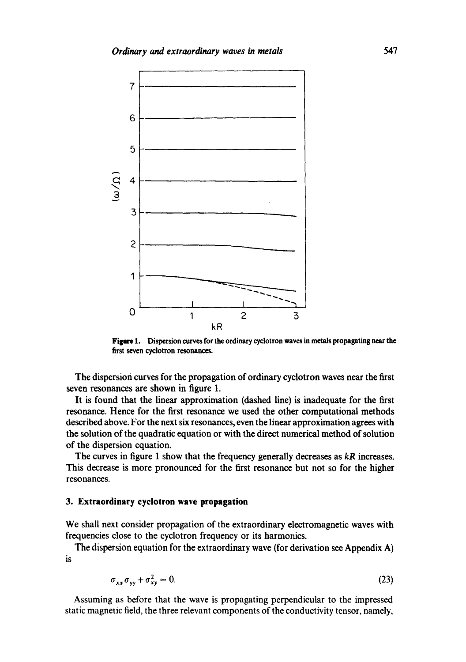

**Figure 1.** Dispersion curves for the ordinary cyclotron waves in metals propagating near the first seven cyclotron resonances.

The dispersion curves for the propagation of ordinary cyclotron waves near the first seven resonances are shown in figure 1.

It is found that the linear approximation (dashed line) is inadequate for the first resonance. Hence for the first resonance we used the other computational methods described above. For the next six resonances, even the linear approximation agrees with the solution of the quadratic equation or with the direct numerical method of solution of the dispersion equation.

The curves in figure 1 show that the frequency generally decreases as *kR* increases. This decrease is more pronounced for the first resonance but not so for the higher resonances.

## **3. Extraordinary cyclotron wave propagation**

We shall next consider propagation of the extraordinary electromagnetic waves with frequencies close to the cyclotron frequency or its harmonics.

The dispersion equation for the extraordinary wave (for derivation see Appendix A) is

$$
\sigma_{xx}\sigma_{yy} + \sigma_{xy}^2 = 0. \tag{23}
$$

Assuming as before that the wave is propagating perpendicular to the impressed static magnetic field, the three relevant components of the conductivity tensor, namely,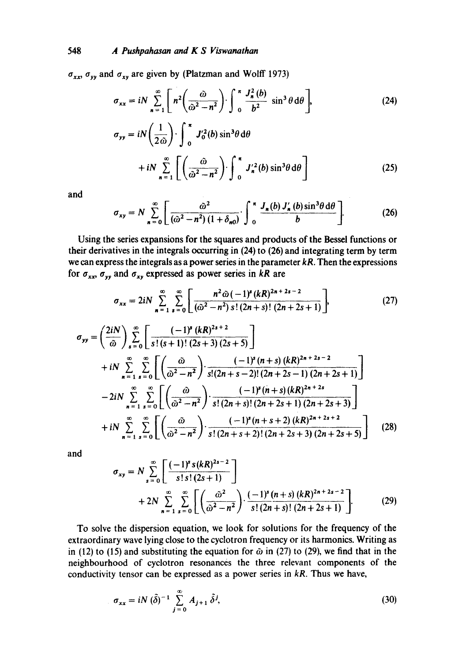# 548 *A Pushpahasan and K S Viswanathan*

 $\sigma_{xx}$ ,  $\sigma_{yy}$  and  $\sigma_{xy}$  are given by (Platzman and Wolff 1973)

$$
\sigma_{xx} = iN \sum_{n=1}^{\infty} \left[ n^2 \left( \frac{\tilde{\omega}}{\tilde{\omega}^2 - n^2} \right) \cdot \int_0^{\pi} \frac{J_n^2(b)}{b^2} \sin^3 \theta \, d\theta \right],
$$
 (24)

$$
\sigma_{yy} = iN\left(\frac{1}{2\tilde{\omega}}\right) \cdot \int_0^\pi J_0'^2(b) \sin^3\theta \,d\theta
$$
  
+  $iN \sum_{n=1}^\infty \left[ \left(\frac{\tilde{\omega}}{\tilde{\omega}^2 - n^2}\right) \cdot \int_0^\pi J_n'^2(b) \sin^3\theta \,d\theta \right]$  (25)

and

$$
\sigma_{xy} = N \sum_{n=0}^{\infty} \left[ \frac{\tilde{\omega}^2}{(\tilde{\omega}^2 - n^2)(1 + \delta_{n0})} \int_{0}^{\pi} \frac{J_n(b) J'_n(b) \sin^3 \theta \, d\theta}{b} \right].
$$
 (26)

Using the series expansions for the squares and products of the Bessel functions or their derivatives in the integrals occurring in (24) to (26) and integrating term by term we can express the integrals as a power series in the parameter *kR.* Then the expressions for  $\sigma_{xx}$ ,  $\sigma_{yy}$  and  $\sigma_{xy}$  expressed as power series in *kR* are

$$
\sigma_{xx} = 2iN \sum_{n=1}^{\infty} \sum_{s=0}^{\infty} \left[ \frac{n^2 \tilde{\omega}(-1)^s (kR)^{2n+2s-2}}{(\tilde{\omega}^2 - n^2) s! (2n+s)! (2n+2s+1)} \right],
$$
 (27)

$$
\sigma_{yy} = \left(\frac{2iN}{\omega}\right) \sum_{s=0}^{\infty} \left[ \frac{(-1)^s (kR)^{2s+2}}{s!(s+1)!(2s+3) (2s+5)} \right] \n+ iN \sum_{n=1}^{\infty} \sum_{s=0}^{\infty} \left[ \left(\frac{\omega}{\omega^2 - n^2}\right) \cdot \frac{(-1)^s (n+s) (kR)^{2n+2s-2}}{s!(2n+s-2)!(2n+2s-1) (2n+2s+1)} \right] \n- 2iN \sum_{n=1}^{\infty} \sum_{s=0}^{\infty} \left[ \left(\frac{\omega}{\omega^2 - n^2}\right) \cdot \frac{(-1)^s (n+s) (kR)^{2n+2s}}{s!(2n+s)!(2n+2s+1) (2n+2s+3)} \right] \n+ iN \sum_{n=1}^{\infty} \sum_{s=0}^{\infty} \left[ \left(\frac{\omega}{\omega^2 - n^2}\right) \cdot \frac{(-1)^s (n+s+2) (kR)^{2n+2s+2}}{s!(2n+s+2)!(2n+2s+3) (2n+2s+5)} \right] \tag{28}
$$

and

$$
\sigma_{xy} = N \sum_{s=0}^{\infty} \left[ \frac{(-1)^s s (kR)^{2s-2}}{s! \, s! \, (2s+1)} \right] + 2N \sum_{n=1}^{\infty} \sum_{s=0}^{\infty} \left[ \left( \frac{\tilde{\omega}^2}{\tilde{\omega}^2 - n^2} \right) \cdot \frac{(-1)^s (n+s) (kR)^{2n+2s-2}}{s! \, (2n+s)! \, (2n+2s+1)} \right]. \tag{29}
$$

To solve the dispersion equation, we look for solutions for the frequency of the extraordinary wave lying close to the cyclotron frequency or its harmonics. Writing as in (12) to (15) and substituting the equation for  $\tilde{\omega}$  in (27) to (29), we find that in the neighbourhood of cyclotron resonances the three relevant components of the conductivity tensor can be expressed as a power series in *kR.* Thus we have,

$$
\sigma_{xx} = iN \left( \tilde{\delta} \right)^{-1} \sum_{j=0}^{\infty} A_{j+1} \, \tilde{\delta}^j,\tag{30}
$$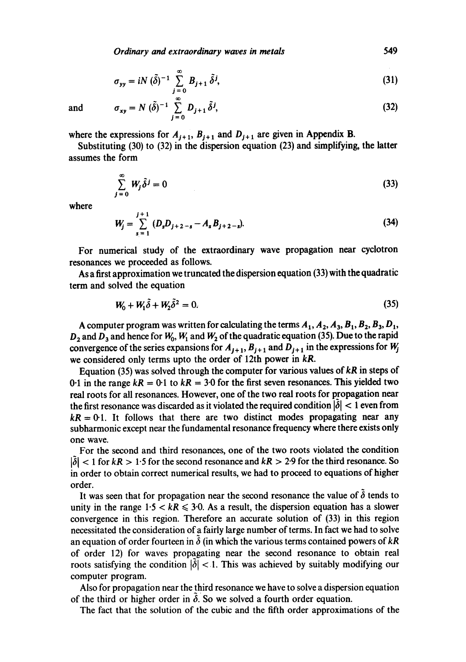*Ordinary and extraordinary waves in metals* 549

$$
\sigma_{yy} = iN \left( \tilde{\delta} \right)^{-1} \sum_{j=0}^{\infty} B_{j+1} \, \tilde{\delta}^j,\tag{31}
$$

and 
$$
\sigma_{xy} = N (\tilde{\delta})^{-1} \sum_{j=0}^{\infty} D_{j+1} \tilde{\delta}^{j}, \qquad (32)
$$

where the expressions for  $A_{j+1}$ ,  $B_{j+1}$  and  $D_{j+1}$  are given in Appendix B.

Substituting (30) to (32) in the dispersion equation (23) and simplifying, the latter assumes the form

$$
\sum_{j=0}^{\infty} W_j \tilde{\delta}^j = 0 \tag{33}
$$

where

$$
W_j = \sum_{s=1}^{j+1} (D_s D_{j+2-s} - A_s B_{j+2-s}).
$$
\n(34)

For numerical study of the extraordinary wave propagation near cyclotron resonances we proceeded as follows.

As a first approximation we truncated the dispersion equation (33) with the quadratic term and solved the equation

$$
W_0 + W_1 \tilde{\delta} + W_2 \tilde{\delta}^2 = 0. \tag{35}
$$

A computer program was written for calculating the terms  $A_1$ ,  $A_2$ ,  $A_3$ ,  $B_1$ ,  $B_2$ ,  $B_3$ ,  $D_1$ ,  $D_2$  and  $D_3$  and hence for  $W_0$ ,  $W_1$  and  $W_2$  of the quadratic equation (35). Due to the rapid convergence of the series expansions for  $A_{j+1}$ ,  $B_{j+1}$  and  $D_{j+1}$  in the expressions for  $W_j$ we considered only terms upto the order of 12th power in *kR.* 

Equation (35) was solved through the computer for various values of *kR* in steps of 0.1 in the range  $kR = 0.1$  to  $kR = 3.0$  for the first seven resonances. This yielded two real roots for all resonances. However, one of the two real roots for propagation near the first resonance was discarded as it violated the required condition  $|\tilde{\delta}| < 1$  even from  $kR = 0.1$ . It follows that there are two distinct modes propagating near any subharmonic except near the fundamental resonance frequency where there exists only one WaVe.

For the second and third resonances, one of the two roots violated the condition  $|\delta|$  < 1 for  $kR > 1.5$  for the second resonance and  $kR > 2.9$  for the third resonance. So in order to obtain correct numerical results, we had to proceed to equations of higher order.

It was seen that for propagation near the second resonance the value of  $\delta$  tends to unity in the range  $1.5 < kR \leq 3.0$ . As a result, the dispersion equation has a slower convergence in this region. Therefore an accurate solution of (33) in this region necessitated the consideration of a fairly large number of terms. In fact we had to solve an equation of order fourteen in  $\delta$  (in which the various terms contained powers of  $kR$ of order 12) for waves propagating near the second resonance to obtain real roots satisfying the condition  $|\delta|$  < 1. This was achieved by suitably modifying our computer program.

Also for propagation near the third resonance we have to solve a dispersion equation of the third or higher order in  $\delta$ . So we solved a fourth order equation.

The fact that the solution of the cubic and the fifth order approximations of the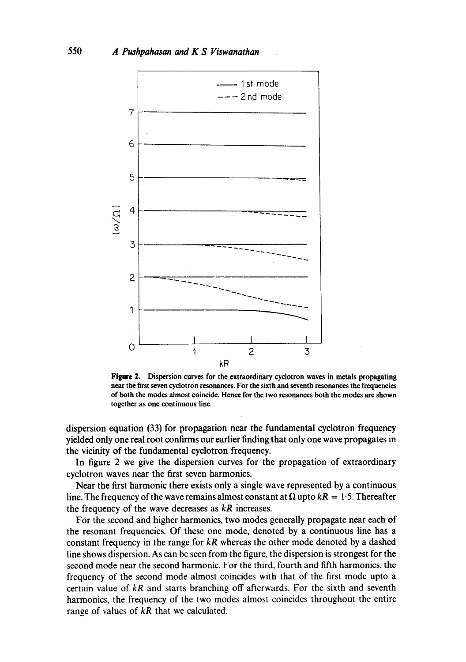

Figure 2. Dispersion curves for the extraordinary cyclotron waves in metals propagating **near the first seven** cyclotron resonances. **For the** sixth and **seventh resonances the frequencies**  of both the modes almost **coincide. Hence for the two resonances both the modes are shown**  together **as one** continuous line.

dispersion equation (33) for propagation near the fundamental cyclotron frequency yielded only one real root confirms our earlier finding that only one wave propagates in the vicinity of the fundamental cyclotron frequency.

In figure 2 we give the dispersion curves for the propagation of extraordinary cyclotron waves near the first seven harmonics.

Near the first harmonic there exists only a single wave represented by a continuous line. The frequency of the wave remains almost constant at  $\Omega$  upto  $kR = 1.5$ . Thereafter the frequency of the wave decreases as *kR* increases.

For the second and higher harmonics, two modes generally propagate near each of the resonant frequencies. Of these one mode, denoted by a continuous line has a constant frequency in the range for *kR* whereas the other mode denoted by a dashed line shows dispersion: As can be seen from the figure, the dispersion is strongest for the second mode near the second harmonic. For the third, fourth and fifth harmonics, the frequency of the second mode almost coincides with that of the first mode upto a certain value of *kR* and starts branching off afterwards. For the sixth and seventh harmonics, the frequency of the two modes almost coincides throughout the entire range of values of *kR* that we calculated.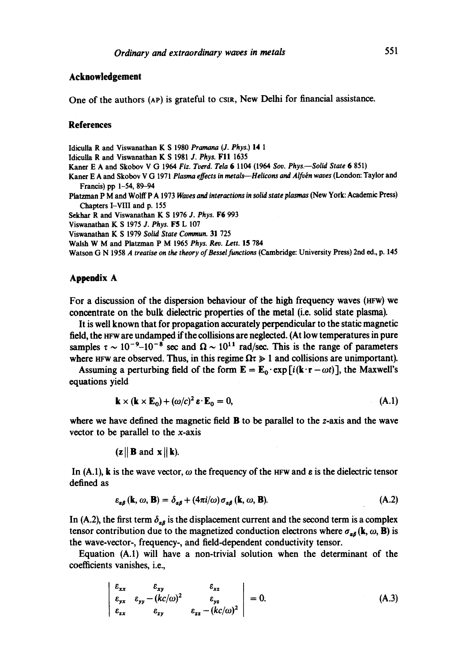### **Acknowledgement**

One of the authors (AP) is grateful to CSIR, New Delhi for financial assistance.

### **References**

Idiculla R and Viswanathan K S 1980 *Pramana (J. Phys.)* 14 1

Idiculla R and Viswanathan K S 1981 *J. Phys.* FII 1635

Kaner E A and Skobov V G 1964 *Fiz. Tverd. Tela* 6 1104 (1964 *Soy. Phys.--Solid State* 6 851)

Kaner E A and Skobov V G 1971 *Plasma effects in metals--Helicons and Alfvbn waves* (London: Taylor and Francis) pp 1-54, 89-94

Platzman P M and Wolff P A 1973 *Waves and interactions in solid state plasmas* (New York: Academic Press) Chapters I-VIII and p. 155

Sekhar R and Viswanathan K S 1976 *J. Phys.* F6 993

Viswanathan K S 1975 *J. Phys.* F5 L 107

Viswanathan K S 1979 *Solid State Commun.* 31 725

Walsh W M and Platzman P M 1965 *Phys. Rev. Lett.* 15 784

Watson G N 1958 *A treatise on the theory of Bessel functions (Cambridge: University Press)* 2nd ed., p. 145

## **Appendix A**

For a discussion of the dispersion behaviour of the high frequency waves (HFW) we concentrate on the bulk dielectric properties of the metal (i.e. solid state plasma).

It is well known that for propagation accurately perpendicular to the static magnetic field, the HFw are undamped if the collisions are neglected. (At low temperatures in pure samples  $\tau \sim 10^{-9}$ – $10^{-8}$  sec and  $\Omega \sim 10^{11}$  rad/sec. This is the range of parameters where HFW are observed. Thus, in this regime  $\Omega \tau \geq 1$  and collisions are unimportant).

Assuming a perturbing field of the form  $\mathbf{E} = \mathbf{E}_0 \cdot \exp[i(\mathbf{k} \cdot \mathbf{r} - \omega t)]$ , the Maxwell's equations yield

$$
\mathbf{k} \times (\mathbf{k} \times \mathbf{E}_0) + (\omega/c)^2 \, \varepsilon \cdot \mathbf{E}_0 = 0,\tag{A.1}
$$

where we have defined the magnetic field  $\bf{B}$  to be parallel to the z-axis and the wave vector to be parallel to the  $x$ -axis

 $(z||\mathbf{B}$  and  $\mathbf{x}||\mathbf{k}$ .

In (A.1), k is the wave vector,  $\omega$  the frequency of the HFW and  $\varepsilon$  is the dielectric tensor defined as

$$
\varepsilon_{\alpha\beta}(\mathbf{k},\omega,\mathbf{B}) = \delta_{\alpha\beta} + (4\pi i/\omega)\sigma_{\alpha\beta}(\mathbf{k},\omega,\mathbf{B}).\tag{A.2}
$$

In (A.2), the first term  $\delta_{\alpha\beta}$  is the displacement current and the second term is a complex tensor contribution due to the magnetized conduction electrons where  $\sigma_{\alpha\beta}$  (k,  $\omega$ , B) is the wave-vector-, frequency-, and field-dependent conductivity tensor.

Equation (A.I) will have a non-trivial solution when the determinant of the coefficients vanishes, i.e.,

$$
\begin{vmatrix}\n\varepsilon_{xx} & \varepsilon_{xy} & \varepsilon_{xz} \\
\varepsilon_{yx} & \varepsilon_{yy} - (kc/\omega)^2 & \varepsilon_{yz} \\
\varepsilon_{zx} & \varepsilon_{zy} & \varepsilon_{zz} - (kc/\omega)^2\n\end{vmatrix} = 0.
$$
\n(A.3)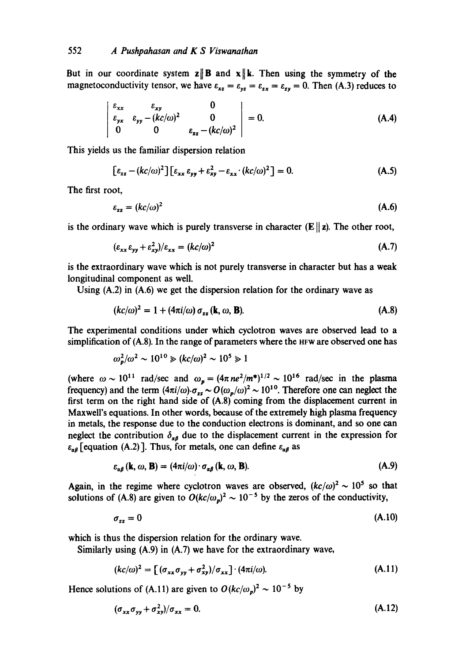But in our coordinate system  $\mathbf{z} \parallel \mathbf{B}$  and  $\mathbf{x} \parallel \mathbf{k}$ . Then using the symmetry of the magnetoconductivity tensor, we have  $\varepsilon_{xz} = \varepsilon_{yz} = \varepsilon_{zx} = \varepsilon_{zy} = 0$ . Then (A.3) reduces to

$$
\begin{vmatrix} \varepsilon_{xx} & \varepsilon_{xy} & 0 \\ \varepsilon_{yx} & \varepsilon_{yy} - (kc/\omega)^2 & 0 \\ 0 & 0 & \varepsilon_{zz} - (kc/\omega)^2 \end{vmatrix} = 0.
$$
 (A.4)

This yields us the familiar dispersion relation

$$
\left[\varepsilon_{zz} - (kc/\omega)^2\right] \left[\varepsilon_{xx}\,\varepsilon_{yy} + \varepsilon_{xy}^2 - \varepsilon_{xx} \cdot (kc/\omega)^2\right] = 0. \tag{A.5}
$$

The first root,

$$
\varepsilon_{zz} = (kc/\omega)^2 \tag{A.6}
$$

is the ordinary wave which is purely transverse in character  $(E||z)$ . The other root,

$$
(\varepsilon_{xx}\varepsilon_{yy} + \varepsilon_{xy}^2)/\varepsilon_{xx} = (kc/\omega)^2
$$
 (A.7)

is the extraordinary wave which is not purely transverse in character but has a weak longitudinal component as well.

Using (A.2) in (A.6) we get the dispersion relation for the ordinary wave as

$$
(kc/\omega)^2 = 1 + (4\pi i/\omega) \sigma_{zz} (\mathbf{k}, \omega, \mathbf{B}). \tag{A.8}
$$

The experimental conditions under which cyclotron waves are observed lead to a simplification of (A.8). In the range of parameters where the HFW are observed one has

$$
\omega_p^2/\omega^2 \sim 10^{10} \gg (kc/\omega)^2 \sim 10^5 \gg 1
$$

(where  $\omega \sim 10^{11}$  rad/sec and  $\omega_p = (4\pi n e^2/m^*)^{1/2} \sim 10^{16}$  rad/sec in the plasma frequency) and the term  $(4\pi i/\omega) \cdot \sigma_{zz} \sim O(\omega_p/\omega)^2 \sim 10^{10}$ . Therefore one can neglect the first term on the right hand side of (A.8) coming from the displacement current in Maxwell's equations. In other words, because of the extremely high plasma frequency in metals, the response due to the conduction electrons is dominant, and so one can neglect the contribution  $\delta_{\alpha\beta}$  due to the displacement current in the expression for  $\epsilon_{\alpha\beta}$  [equation (A.2)]. Thus, for metals, one can define  $\epsilon_{\alpha\beta}$  as

$$
\varepsilon_{\alpha\beta}(\mathbf{k},\omega,\mathbf{B})=(4\pi i/\omega)\cdot\sigma_{\alpha\beta}(\mathbf{k},\omega,\mathbf{B}).
$$
 (A.9)

Again, in the regime where cyclotron waves are observed,  $(kc/\omega)^2 \sim 10^5$  so that solutions of (A.8) are given to  $O(kc/\omega_p)^2 \sim 10^{-5}$  by the zeros of the conductivity,

$$
\sigma_{zz} = 0 \tag{A.10}
$$

which is thus the dispersion relation for the ordinary wave.

Similarly using (A.9) in (A.7) we have for the extraordinary wave,

$$
(kc/\omega)^2 = \left[ (\sigma_{xx}\sigma_{yy} + \sigma_{xy}^2)/\sigma_{xx} \right] \cdot (4\pi i/\omega). \tag{A.11}
$$

Hence solutions of (A.11) are given to  $O(kc/\omega_p)^2 \sim 10^{-5}$  by

$$
(\sigma_{xx}\sigma_{yy} + \sigma_{xy}^2)/\sigma_{xx} = 0. \tag{A.12}
$$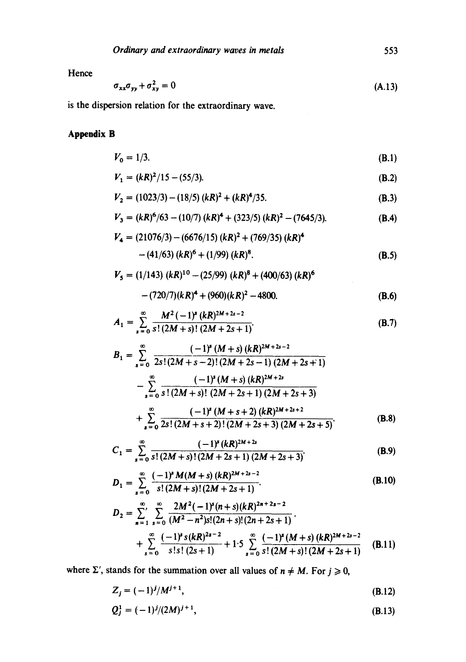553

Hence

$$
\sigma_{xx}\sigma_{yy} + \sigma_{xy}^2 = 0 \tag{A.13}
$$

is the dispersion relation for the extraordinary wave.

# **Appendix B**

$$
V_0 = 1/3. \t\t (B.1)
$$

$$
V_1 = (kR)^2/15 - (55/3). \tag{B.2}
$$

$$
V_2 = (1023/3) - (18/5) (kR)^2 + (kR)^4/35.
$$
 (B.3)

$$
V_3 = (kR)^6/63 - (10/7) (kR)^4 + (323/5) (kR)^2 - (7645/3).
$$
 (B.4)

$$
V_4 = (21076/3) - (6676/15) (kR)^2 + (769/35) (kR)^4
$$
  
- (41/63) (kR)<sup>6</sup> + (1/99) (kR)<sup>8</sup>. (B.5)

$$
V_5 = (1/143) (kR)^{10} - (25/99) (kR)^8 + (400/63) (kR)^6
$$
  
-(720/7)(kR)<sup>4</sup> + (960)(kR)<sup>2</sup> - 4800. (B.6)

$$
A_1 = \sum_{s=0}^{\infty} \frac{M^2 (-1)^s (kR)^{2M+2s-2}}{s!(2M+s)!(2M+2s+1)}.
$$
 (B.7)

$$
B_{1} = \sum_{s=0}^{\infty} \frac{(-1)^{s} (M+s) (kR)^{2M+2s-2}}{2s!(2M+s-2)!(2M+2s-1) (2M+2s+1)}
$$
  

$$
-\sum_{s=0}^{\infty} \frac{(-1)^{s} (M+s) (kR)^{2M+2s}}{s!(2M+s)!(2M+2s+1) (2M+2s+3)}
$$
  

$$
+\sum_{s=0}^{\infty} \frac{(-1)^{s} (M+s+2) (kR)^{2M+2s+2}}{2s!(2M+s+2)!(2M+2s+3) (2M+2s+5)}
$$
 (B.8)

$$
C_1 = \sum_{s=0}^{\infty} \frac{(-1)^s (kR)^{2M+2s}}{s!(2M+s)!(2M+2s+1)(2M+2s+3)}.
$$
 (B.9)

$$
D_1 = \sum_{s=0}^{\infty} \frac{(-1)^s M(M+s) (kR)^{2M+2s-2}}{s! (2M+s)! (2M+2s+1)}.
$$
 (B.10)

$$
D_2 = \sum_{n=1}^{\infty} \sum_{s=0}^{\infty} \frac{2M^2(-1)^s(n+s)(kR)^{2n+2s-2}}{(M^2-n^2)s!(2n+s)!(2n+2s+1)} + \sum_{s=0}^{\infty} \frac{(-1)^s s(kR)^{2s-2}}{s!s!(2s+1)} + 1.5 \sum_{s=0}^{\infty} \frac{(-1)^s (M+s) (kR)^{2M+2s-2}}{s!(2M+s)!(2M+2s+1)}
$$
(B.11)

where  $\Sigma'$ , stands for the summation over all values of  $n \neq M$ . For  $j \geq 0$ ,

$$
Z_j = (-1)^j / M^{j+1}, \tag{B.12}
$$

$$
Q_j^1 = (-1)^j/(2M)^{j+1},\tag{B.13}
$$